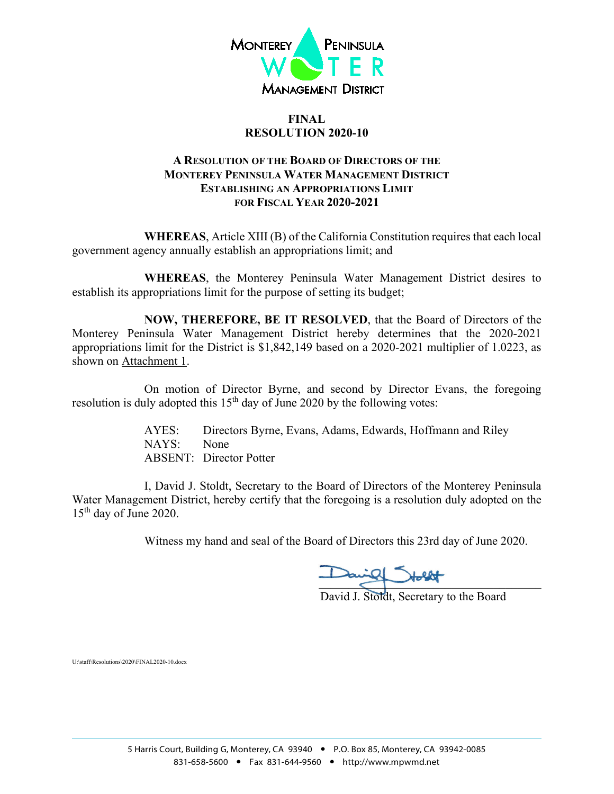

#### **FINAL RESOLUTION 2020-10**

### **A RESOLUTION OF THE BOARD OF DIRECTORS OF THE MONTEREY PENINSULA WATER MANAGEMENT DISTRICT ESTABLISHING AN APPROPRIATIONS LIMIT FOR FISCAL YEAR 2020-2021**

**WHEREAS**, Article XIII (B) of the California Constitution requires that each local government agency annually establish an appropriations limit; and

**WHEREAS**, the Monterey Peninsula Water Management District desires to establish its appropriations limit for the purpose of setting its budget;

**NOW, THEREFORE, BE IT RESOLVED**, that the Board of Directors of the Monterey Peninsula Water Management District hereby determines that the 2020-2021 appropriations limit for the District is \$1,842,149 based on a 2020-2021 multiplier of 1.0223, as shown on Attachment 1.

On motion of Director Byrne, and second by Director Evans, the foregoing resolution is duly adopted this  $15<sup>th</sup>$  day of June 2020 by the following votes:

> AYES: Directors Byrne, Evans, Adams, Edwards, Hoffmann and Riley NAYS: None ABSENT: Director Potter

I, David J. Stoldt, Secretary to the Board of Directors of the Monterey Peninsula Water Management District, hereby certify that the foregoing is a resolution duly adopted on the 15th day of June 2020.

Witness my hand and seal of the Board of Directors this 23rd day of June 2020.

 $\overline{\phantom{a}}$ 

David J. Stoldt, Secretary to the Board

U:\staff\Resolutions\2020\FINAL2020-10.docx